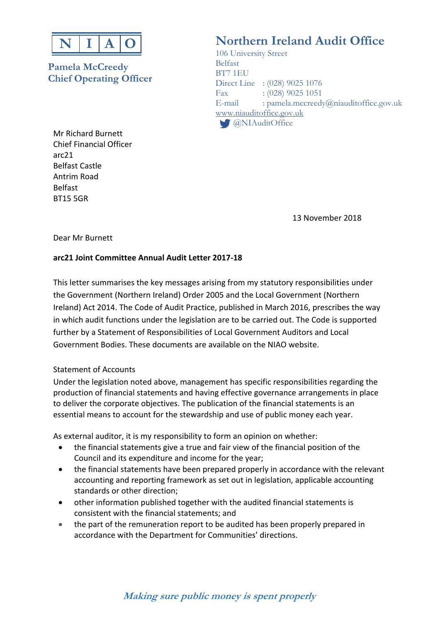

## **Pamela McCreedy** Belfast **Chief Operating Officer** BT7 1EU

Mr Richard Burnett Chief Financial Officer arc21 Belfast Castle Antrim Road Belfast BT15 5GR

# **Northern Ireland Audit Office**

 106 University Street Direct Line : (028) 9025 1076 Fax : (028) 9025 1051 E-mail : pamela.mccreedy@niauditoffice.gov.uk www.niauditoffice.gov.uk **C** @NIAuditOffice

13 November 2018

Dear Mr Burnett

### **arc21 Joint Committee Annual Audit Letter 2017‐18**

This letter summarises the key messages arising from my statutory responsibilities under the Government (Northern Ireland) Order 2005 and the Local Government (Northern Ireland) Act 2014. The Code of Audit Practice, published in March 2016, prescribes the way in which audit functions under the legislation are to be carried out. The Code is supported further by a Statement of Responsibilities of Local Government Auditors and Local Government Bodies. These documents are available on the NIAO website.

#### Statement of Accounts

Under the legislation noted above, management has specific responsibilities regarding the production of financial statements and having effective governance arrangements in place to deliver the corporate objectives. The publication of the financial statements is an essential means to account for the stewardship and use of public money each year.

As external auditor, it is my responsibility to form an opinion on whether:

- the financial statements give a true and fair view of the financial position of the Council and its expenditure and income for the year;
- the financial statements have been prepared properly in accordance with the relevant accounting and reporting framework as set out in legislation, applicable accounting standards or other direction;
- other information published together with the audited financial statements is consistent with the financial statements; and
- the part of the remuneration report to be audited has been properly prepared in accordance with the Department for Communities' directions.